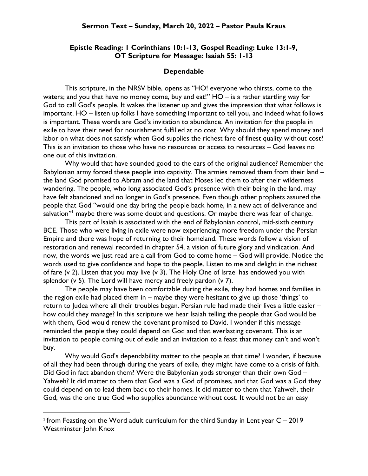## Epistle Reading: 1 Corinthians 10:1-13, Gospel Reading: Luke 13:1-9, OT Scripture for Message: Isaiah 55: 1-13

## Dependable

This scripture, in the NRSV bible, opens as "HO! everyone who thirsts, come to the waters; and you that have no money come, buy and eat!"  $HO -$  is a rather startling way for God to call God's people. It wakes the listener up and gives the impression that what follows is important. HO – listen up folks I have something important to tell you, and indeed what follows is important. These words are God's invitation to abundance. An invitation for the people in exile to have their need for nourishment fulfilled at no cost. Why should they spend money and labor on what does not satisfy when God supplies the richest fare of finest quality without cost? This is an invitation to those who have no resources or access to resources – God leaves no one out of this invitation.

Why would that have sounded good to the ears of the original audience? Remember the Babylonian army forced these people into captivity. The armies removed them from their land the land God promised to Abram and the land that Moses led them to after their wilderness wandering. The people, who long associated God's presence with their being in the land, may have felt abandoned and no longer in God's presence. Even though other prophets assured the people that God "would one day bring the people back home, in a new act of deliverance and salvation"<sup>1</sup> maybe there was some doubt and questions. Or maybe there was fear of change.

This part of Isaiah is associated with the end of Babylonian control, mid-sixth century BCE. Those who were living in exile were now experiencing more freedom under the Persian Empire and there was hope of returning to their homeland. These words follow a vision of restoration and renewal recorded in chapter 54, a vision of future glory and vindication. And now, the words we just read are a call from God to come home – God will provide. Notice the words used to give confidence and hope to the people. Listen to me and delight in the richest of fare (v 2). Listen that you may live (v 3). The Holy One of Israel has endowed you with splendor (v 5). The Lord will have mercy and freely pardon (v 7).

The people may have been comfortable during the exile, they had homes and families in the region exile had placed them in – maybe they were hesitant to give up those 'things' to return to Judea where all their troubles began. Persian rule had made their lives a little easier – how could they manage? In this scripture we hear Isaiah telling the people that God would be with them, God would renew the covenant promised to David. I wonder if this message reminded the people they could depend on God and that everlasting covenant. This is an invitation to people coming out of exile and an invitation to a feast that money can't and won't buy.

Why would God's dependability matter to the people at that time? I wonder, if because of all they had been through during the years of exile, they might have come to a crisis of faith. Did God in fact abandon them? Were the Babylonian gods stronger than their own God -Yahweh? It did matter to them that God was a God of promises, and that God was a God they could depend on to lead them back to their homes. It did matter to them that Yahweh, their God, was the one true God who supplies abundance without cost. It would not be an easy

 $1$  from Feasting on the Word adult curriculum for the third Sunday in Lent year C – 2019 Westminster John Knox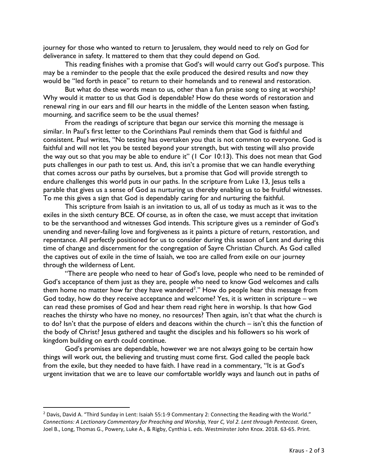journey for those who wanted to return to Jerusalem, they would need to rely on God for deliverance in safety. It mattered to them that they could depend on God.

This reading finishes with a promise that God's will would carry out God's purpose. This may be a reminder to the people that the exile produced the desired results and now they would be "led forth in peace" to return to their homelands and to renewal and restoration.

But what do these words mean to us, other than a fun praise song to sing at worship? Why would it matter to us that God is dependable? How do these words of restoration and renewal ring in our ears and fill our hearts in the middle of the Lenten season when fasting, mourning, and sacrifice seem to be the usual themes?

From the readings of scripture that began our service this morning the message is similar. In Paul's first letter to the Corinthians Paul reminds them that God is faithful and consistent. Paul writes, "No testing has overtaken you that is not common to everyone. God is faithful and will not let you be tested beyond your strength, but with testing will also provide the way out so that you may be able to endure it" (1 Cor 10:13). This does not mean that God puts challenges in our path to test us. And, this isn't a promise that we can handle everything that comes across our paths by ourselves, but a promise that God will provide strength to endure challenges this world puts in our paths. In the scripture from Luke 13, Jesus tells a parable that gives us a sense of God as nurturing us thereby enabling us to be fruitful witnesses. To me this gives a sign that God is dependably caring for and nurturing the faithful.

This scripture from Isaiah is an invitation to us, all of us today as much as it was to the exiles in the sixth century BCE. Of course, as in often the case, we must accept that invitation to be the servanthood and witnesses God intends. This scripture gives us a reminder of God's unending and never-failing love and forgiveness as it paints a picture of return, restoration, and repentance. All perfectly positioned for us to consider during this season of Lent and during this time of change and discernment for the congregation of Sayre Christian Church. As God called the captives out of exile in the time of Isaiah, we too are called from exile on our journey through the wilderness of Lent.

"There are people who need to hear of God's love, people who need to be reminded of God's acceptance of them just as they are, people who need to know God welcomes and calls them home no matter how far they have wandered $^2$ ." How do people hear this message from God today, how do they receive acceptance and welcome? Yes, it is written in scripture – we can read these promises of God and hear them read right here in worship. Is that how God reaches the thirsty who have no money, no resources? Then again, isn't that what the church is to do? Isn't that the purpose of elders and deacons within the church – isn't this the function of the body of Christ? Jesus gathered and taught the disciples and his followers so his work of kingdom building on earth could continue.

God's promises are dependable, however we are not always going to be certain how things will work out, the believing and trusting must come first. God called the people back from the exile, but they needed to have faith. I have read in a commentary, "It is at God's urgent invitation that we are to leave our comfortable worldly ways and launch out in paths of

<sup>&</sup>lt;sup>2</sup> Davis, David A. "Third Sunday in Lent: Isaiah 55:1-9 Commentary 2: Connecting the Reading with the World." Connections: A Lectionary Commentary for Preaching and Worship, Year C, Vol 2. Lent through Pentecost. Green, Joel B., Long, Thomas G., Powery, Luke A., & Rigby, Cynthia L. eds. Westminster John Knox. 2018. 63-65. Print.